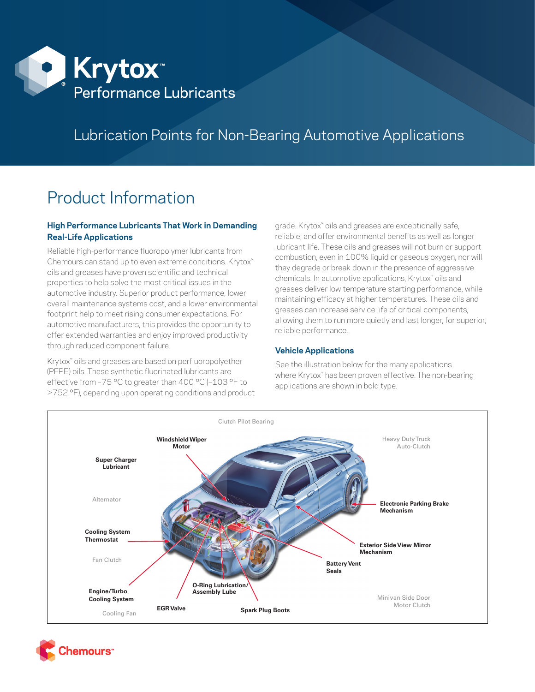

## Lubrication Points for Non-Bearing Automotive Applications

# Product Information

## **High Performance Lubricants That Work in Demanding Real-Life Applications**

Reliable high-performance fluoropolymer lubricants from Chemours can stand up to even extreme conditions. Krytox™ oils and greases have proven scientific and technical properties to help solve the most critical issues in the automotive industry. Superior product performance, lower overall maintenance systems cost, and a lower environmental footprint help to meet rising consumer expectations. For automotive manufacturers, this provides the opportunity to offer extended warranties and enjoy improved productivity through reduced component failure.

Krytox™ oils and greases are based on perfluoropolyether (PFPE) oils. These synthetic fluorinated lubricants are effective from -75 °C to greater than 400 °C (-103 °F to >752 °F), depending upon operating conditions and product grade. Krytox™ oils and greases are exceptionally safe, reliable, and offer environmental benefits as well as longer lubricant life. These oils and greases will not burn or support combustion, even in 100% liquid or gaseous oxygen, nor will they degrade or break down in the presence of aggressive chemicals. In automotive applications, Krytox™ oils and greases deliver low temperature starting performance, while maintaining efficacy at higher temperatures. These oils and greases can increase service life of critical components, allowing them to run more quietly and last longer, for superior, reliable performance.

## **Vehicle Applications**

See the illustration below for the many applications where Krytox™ has been proven effective. The non-bearing applications are shown in bold type.



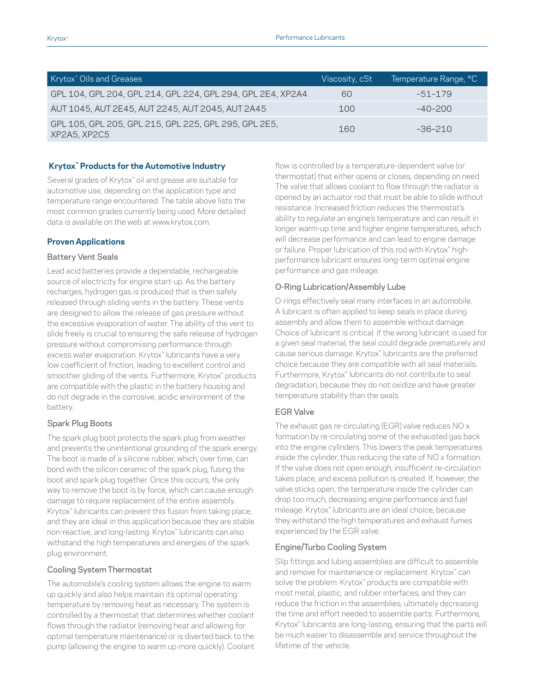| Krytox <sup>"</sup> Oils and Greases                                  | Viscosity, cSt | Temperature Range, °C |
|-----------------------------------------------------------------------|----------------|-----------------------|
| GPL 104, GPL 204, GPL 214, GPL 224, GPL 294, GPL 2E4, XP2A4           | 60             | -51-179               |
| AUT 1045, AUT 2E45, AUT 2245, AUT 2045, AUT 2A45                      | 100            | $-40-200$             |
| GPL 105, GPL 205, GPL 215, GPL 225, GPL 295, GPL 2E5,<br>XP2A5, XP2C5 | 160            | $-36-210$             |

#### **Krytox™ Products for the Automotive Industry**

Several grades of Krytox™ oil and grease are suitable for automotive use, depending on the application type and temperature range encountered. The table above lists the most common grades currently being used. More detailed data is available on the web at [www.krytox.com](http://www.krytox.com).

#### **Proven Applications**

#### Battery Vent Seals

Lead acid batteries provide a dependable, rechargeable source of electricity for engine start-up. As the battery recharges, hydrogen gas is produced that is then safely released through sliding vents in the battery. These vents are designed to allow the release of gas pressure without the excessive evaporation of water. The ability of the vent to slide freely is crucial to ensuring the safe release of hydrogen pressure without compromising performance through excess water evaporation. Krytox™ lubricants have a very low coefficient of friction, leading to excellent control and smoother gliding of the vents. Furthermore, Krytox™ products are compatible with the plastic in the battery housing and do not degrade in the corrosive, acidic environment of the battery.

#### Spark Plug Boots

The spark plug boot protects the spark plug from weather and prevents the unintentional grounding of the spark energy. The boot is made of a silicone rubber, which, over time, can bond with the silicon ceramic of the spark plug, fusing the boot and spark plug together. Once this occurs, the only way to remove the boot is by force, which can cause enough damage to require replacement of the entire assembly. Krytox™ lubricants can prevent this fusion from taking place, and they are ideal in this application because they are stable non-reactive, and long-lasting. Krytox™ lubricants can also withstand the high temperatures and energies of the spark plug environment.

#### Cooling System Thermostat

The automobile's cooling system allows the engine to warm up quickly and also helps maintain its optimal operating temperature by removing heat as necessary. The system is controlled by a thermostat that determines whether coolant flows through the radiator (removing heat and allowing for optimal temperature maintenance) or is diverted back to the pump (allowing the engine to warm up more quickly). Coolant

flow is controlled by a temperature-dependent valve (or thermostat) that either opens or closes, depending on need. The valve that allows coolant to flow through the radiator is opened by an actuator rod that must be able to slide without resistance. Increased friction reduces the thermostat's ability to regulate an engine's temperature and can result in longer warm-up time and higher engine temperatures, which will decrease performance and can lead to engine damage or failure. Proper lubrication of this rod with Krytox™ highperformance lubricant ensures long-term optimal engine performance and gas mileage.

#### O-Ring Lubrication/Assembly Lube

O-rings effectively seal many interfaces in an automobile. A lubricant is often applied to keep seals in place during assembly and allow them to assemble without damage. Choice of lubricant is critical: if the wrong lubricant is used for a given seal material, the seal could degrade prematurely and cause serious damage. Krytox™ lubricants are the preferred choice because they are compatible with all seal materials. Furthermore, Krytox™ lubricants do not contribute to seal degradation, because they do not oxidize and have greater temperature stability than the seals.

#### EGR Valve

The exhaust gas re-circulating (EGR) valve reduces NO x formation by re-circulating some of the exhausted gas back into the engine cylinders. This lowers the peak temperatures inside the cylinder, thus reducing the rate of NO x formation. If the valve does not open enough, insufficient re-circulation takes place, and excess pollution is created. If, however, the valve sticks open, the temperature inside the cylinder can drop too much, decreasing engine performance and fuel mileage. Krytox™ lubricants are an ideal choice, because they withstand the high temperatures and exhaust fumes experienced by the EGR valve.

## Engine/Turbo Cooling System

Slip fittings and lubing assemblies are difficult to assemble and remove for maintenance or replacement. Krytox™ can solve the problem. Krytox™ products are compatible with most metal, plastic, and rubber interfaces, and they can reduce the friction in the assemblies, ultimately decreasing the time and effort needed to assemble parts. Furthermore, Krytox<sup>™</sup> lubricants are long-lasting, ensuring that the parts will be much easier to disassemble and service throughout the lifetime of the vehicle.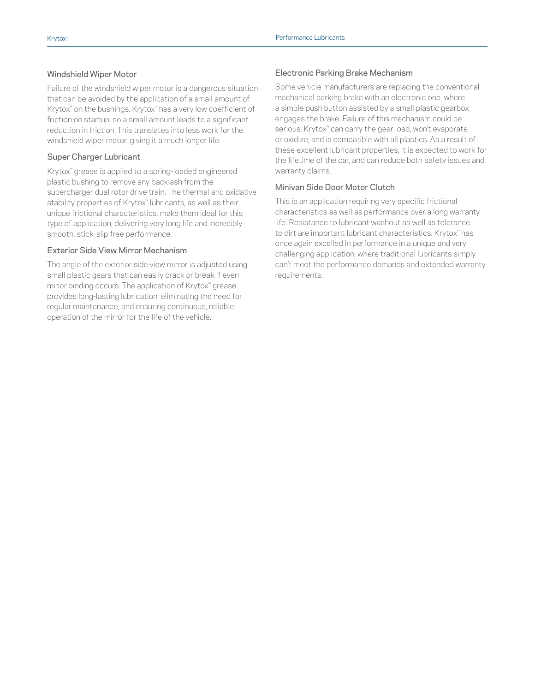### Windshield Wiper Motor

Failure of the windshield wiper motor is a dangerous situation that can be avoided by the application of a small amount of Krytox<sup>™</sup> on the bushings. Krytox<sup>™</sup> has a very low coefficient of friction on startup, so a small amount leads to a significant reduction in friction. This translates into less work for the windshield wiper motor, giving it a much longer life.

#### Super Charger Lubricant

Krytox™ grease is applied to a spring-loaded engineered plastic bushing to remove any backlash from the supercharger dual rotor drive train. The thermal and oxidative stability properties of Krytox<sup>™</sup> lubricants, as well as their unique frictional characteristics, make them ideal for this type of application, delivering very long life and incredibly smooth, stick-slip free performance.

#### Exterior Side View Mirror Mechanism

The angle of the exterior side view mirror is adjusted using small plastic gears that can easily crack or break if even minor binding occurs. The application of Krytox™ grease provides long-lasting lubrication, eliminating the need for regular maintenance, and ensuring continuous, reliable operation of the mirror for the life of the vehicle.

### Electronic Parking Brake Mechanism

Some vehicle manufacturers are replacing the conventional mechanical parking brake with an electronic one, where a simple push button assisted by a small plastic gearbox engages the brake. Failure of this mechanism could be serious. Krytox<sup>™</sup> can carry the gear load, won't evaporate or oxidize, and is compatible with all plastics. As a result of these excellent lubricant properties, it is expected to work for the lifetime of the car, and can reduce both safety issues and warranty claims.

### Minivan Side Door Motor Clutch

This is an application requiring very specific frictional characteristics as well as performance over a long warranty life. Resistance to lubricant washout as well as tolerance to dirt are important lubricant characteristics. Krytox™ has once again excelled in performance in a unique and very challenging application, where traditional lubricants simply can't meet the performance demands and extended warranty requirements.